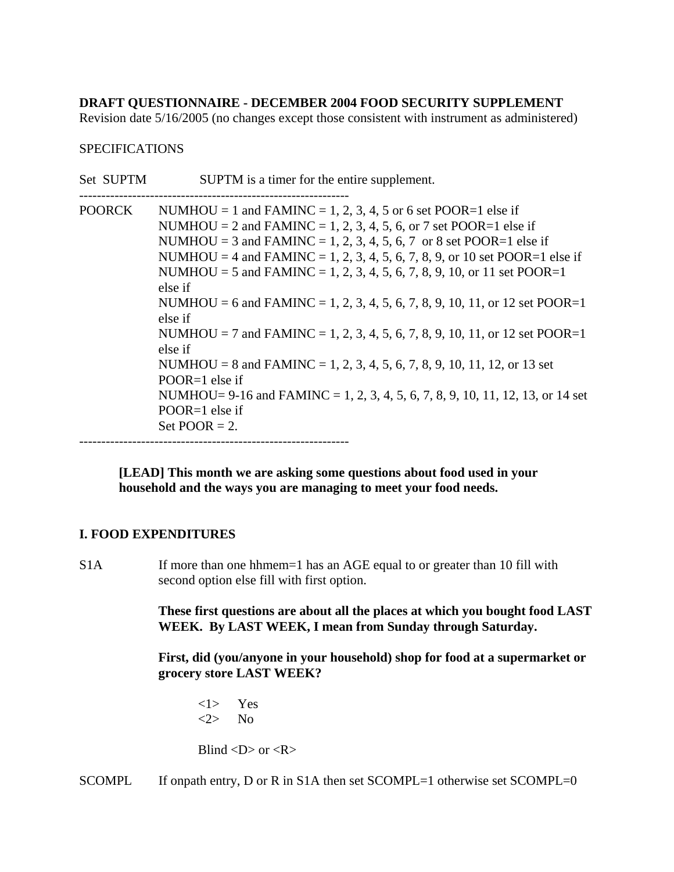# **DRAFT QUESTIONNAIRE - DECEMBER 2004 FOOD SECURITY SUPPLEMENT**

Revision date 5/16/2005 (no changes except those consistent with instrument as administered)

### SPECIFICATIONS

| Set SUPTM     | SUPTM is a timer for the entire supplement.                                                                                                                                                                                                                                                                                                                                                                                                                                                                                                                                                                                                                                                                                                                                                |
|---------------|--------------------------------------------------------------------------------------------------------------------------------------------------------------------------------------------------------------------------------------------------------------------------------------------------------------------------------------------------------------------------------------------------------------------------------------------------------------------------------------------------------------------------------------------------------------------------------------------------------------------------------------------------------------------------------------------------------------------------------------------------------------------------------------------|
| <b>POORCK</b> | NUMHOU = 1 and FAMINC = 1, 2, 3, 4, 5 or 6 set POOR=1 else if<br>NUMHOU = 2 and FAMINC = 1, 2, 3, 4, 5, 6, or 7 set POOR=1 else if<br>NUMHOU = 3 and FAMINC = 1, 2, 3, 4, 5, 6, 7 or 8 set POOR=1 else if<br>NUMHOU = 4 and FAMINC = 1, 2, 3, 4, 5, 6, 7, 8, 9, or 10 set POOR=1 else if<br>NUMHOU = 5 and FAMINC = 1, 2, 3, 4, 5, 6, 7, 8, 9, 10, or 11 set POOR=1<br>else if<br>NUMHOU = 6 and FAMINC = 1, 2, 3, 4, 5, 6, 7, 8, 9, 10, 11, or 12 set POOR=1<br>else if<br>NUMHOU = 7 and FAMINC = 1, 2, 3, 4, 5, 6, 7, 8, 9, 10, 11, or 12 set POOR=1<br>else if<br>NUMHOU = 8 and FAMINC = 1, 2, 3, 4, 5, 6, 7, 8, 9, 10, 11, 12, or 13 set<br>POOR=1 else if<br>NUMHOU= 9-16 and FAMINC = 1, 2, 3, 4, 5, 6, 7, 8, 9, 10, 11, 12, 13, or 14 set<br>$POOR=1$ else if<br>Set POOR $= 2$ . |
|               |                                                                                                                                                                                                                                                                                                                                                                                                                                                                                                                                                                                                                                                                                                                                                                                            |

**[LEAD] This month we are asking some questions about food used in your household and the ways you are managing to meet your food needs.**

# **I. FOOD EXPENDITURES**

S1A If more than one hhmem=1 has an AGE equal to or greater than 10 fill with second option else fill with first option.

> **These first questions are about all the places at which you bought food LAST WEEK. By LAST WEEK, I mean from Sunday through Saturday.**

 **First, did (you/anyone in your household) shop for food at a supermarket or grocery store LAST WEEK?** 

<1> Yes  $\langle 2 \rangle$  No

Blind  $\langle D \rangle$  or  $\langle R \rangle$ 

SCOMPL If onpath entry, D or R in S1A then set SCOMPL=1 otherwise set SCOMPL=0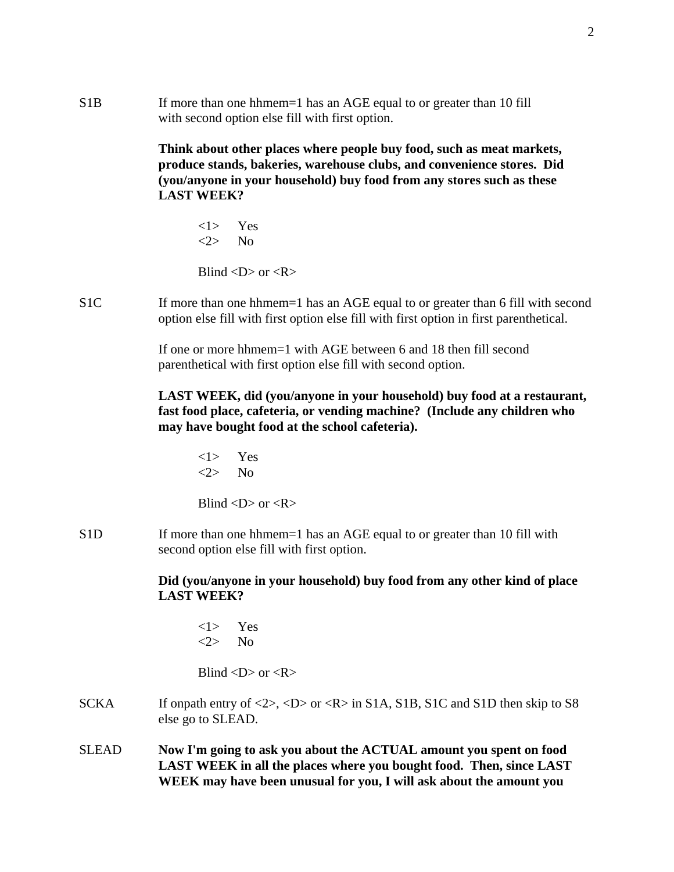S1B If more than one hhmem=1 has an AGE equal to or greater than 10 fill with second option else fill with first option.

> **Think about other places where people buy food, such as meat markets, produce stands, bakeries, warehouse clubs, and convenience stores. Did (you/anyone in your household) buy food from any stores such as these LAST WEEK?**

<1> Yes  $\langle 2 \rangle$  No

Blind  $\langle D \rangle$  or  $\langle R \rangle$ 

S1C If more than one hhmem=1 has an AGE equal to or greater than 6 fill with second option else fill with first option else fill with first option in first parenthetical.

> If one or more hhmem=1 with AGE between 6 and 18 then fill second parenthetical with first option else fill with second option.

**LAST WEEK, did (you/anyone in your household) buy food at a restaurant, fast food place, cafeteria, or vending machine? (Include any children who may have bought food at the school cafeteria).**

<1> Yes <2> No Blind  $\langle D \rangle$  or  $\langle R \rangle$ 

S1D If more than one hhmem=1 has an AGE equal to or greater than 10 fill with second option else fill with first option.

> **Did (you/anyone in your household) buy food from any other kind of place LAST WEEK?**

<1> Yes <2> No

Blind  $\langle D \rangle$  or  $\langle R \rangle$ 

- SCKA If onpath entry of  $\langle 2 \rangle$ ,  $\langle D \rangle$  or  $\langle R \rangle$  in S1A, S1B, S1C and S1D then skip to S8 else go to SLEAD.
- SLEAD **Now I'm going to ask you about the ACTUAL amount you spent on food LAST WEEK in all the places where you bought food. Then, since LAST WEEK may have been unusual for you, I will ask about the amount you**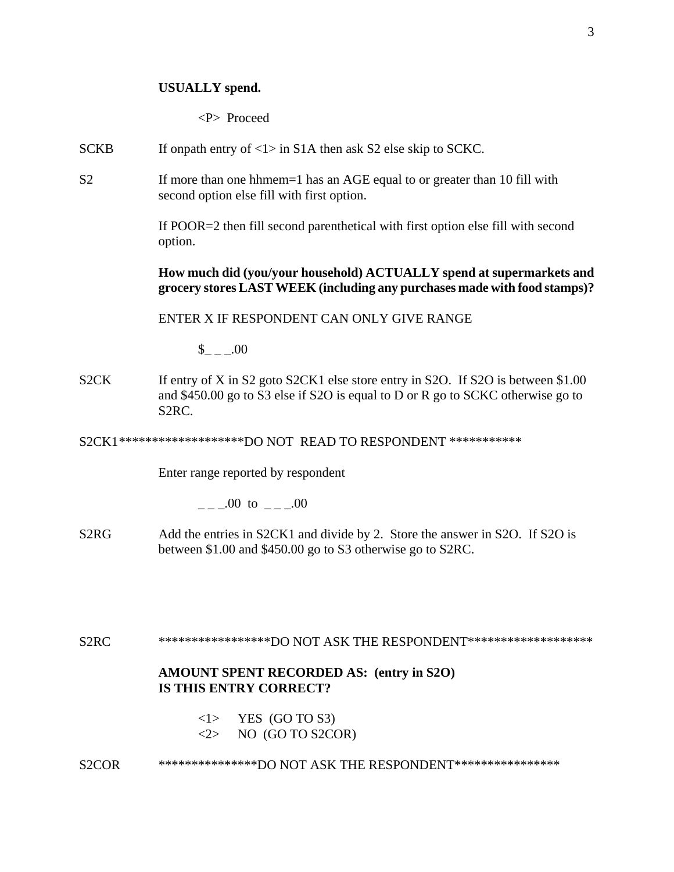### **USUALLY spend.**

<P> Proceed

SCKB If onpath entry of  $\langle 1 \rangle$  in S1A then ask S2 else skip to SCKC.

S2 If more than one hhmem=1 has an AGE equal to or greater than 10 fill with second option else fill with first option.

> If POOR=2 then fill second parenthetical with first option else fill with second option.

**How much did (you/your household) ACTUALLY spend at supermarkets and grocery stores LAST WEEK (including any purchases made with food stamps)?**

ENTER X IF RESPONDENT CAN ONLY GIVE RANGE

 $_{- -1.00}$ 

S2CK If entry of X in S2 goto S2CK1 else store entry in S2O. If S2O is between \$1.00 and \$450.00 go to S3 else if S2O is equal to D or R go to SCKC otherwise go to S2RC.

S2CK1 \*\*\*\*\*\*\*\*\*\*\*\*\*\*\*\*\*\*\*DO NOT READ TO RESPONDENT \*\*\*\*\*\*\*\*\*\*\*

Enter range reported by respondent

 $\frac{1}{2} - 0.00 \text{ to } \frac{1}{2} - 0.00$ 

S2RG Add the entries in S2CK1 and divide by 2. Store the answer in S2O. If S2O is between \$1.00 and \$450.00 go to S3 otherwise go to S2RC.

S2RC \*\*\*\*\*\*\*\*\*\*\*\*\*\*\*\*\*\*DO NOT ASK THE RESPONDENT\*\*\*\*\*\*\*\*\*\*\*\*\*\*\*\*\*\*\*\*

### **AMOUNT SPENT RECORDED AS: (entry in S2O) IS THIS ENTRY CORRECT?**

 $\langle 1 \rangle$  YES (GO TO S3)  $\langle 2 \rangle$  NO (GO TO S2COR)

S2COR \*\*\*\*\*\*\*\*\*\*\*\*\*\*\*\*DO NOT ASK THE RESPONDENT\*\*\*\*\*\*\*\*\*\*\*\*\*\*\*\*\*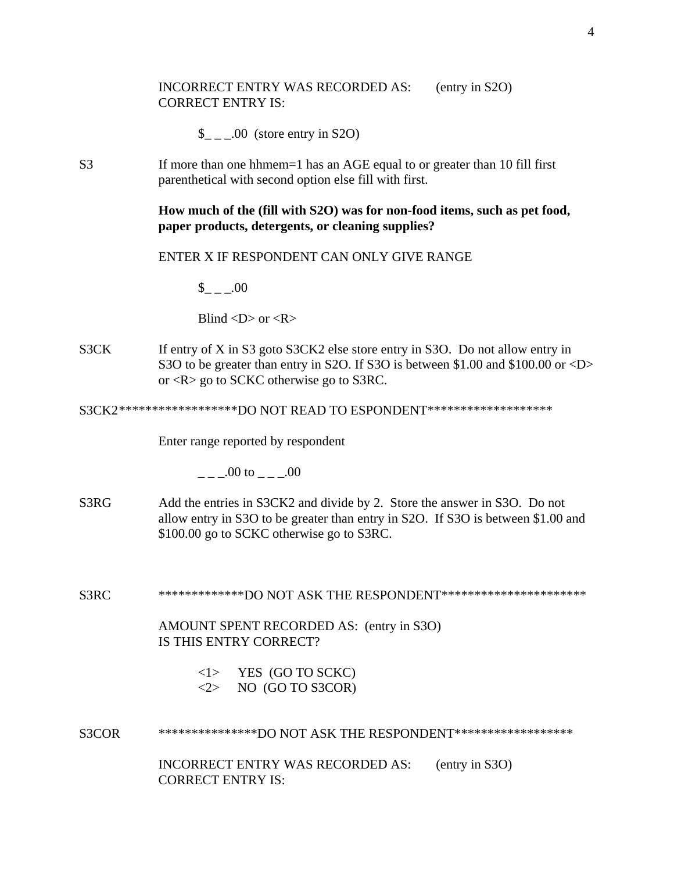### INCORRECT ENTRY WAS RECORDED AS: (entry in S2O) CORRECT ENTRY IS:

- $\frac{1}{2}$  \_ \_00 (store entry in S2O)
- S3 If more than one hhmem=1 has an AGE equal to or greater than 10 fill first parenthetical with second option else fill with first.

# **How much of the (fill with S2O) was for non-food items, such as pet food, paper products, detergents, or cleaning supplies?**

# ENTER X IF RESPONDENT CAN ONLY GIVE RANGE

 $\frac{\text{I}}{\text{I}} = 0.00$ 

Blind  $\langle D \rangle$  or  $\langle R \rangle$ 

S3CK If entry of X in S3 goto S3CK2 else store entry in S3O. Do not allow entry in S3O to be greater than entry in S2O. If S3O is between \$1.00 and \$100.00 or <D> or <R> go to SCKC otherwise go to S3RC.

S3CK2\*\*\*\*\*\*\*\*\*\*\*\*\*\*\*\*\*\*\*DO NOT READ TO ESPONDENT\*\*\*\*\*\*\*\*\*\*\*\*\*\*\*\*\*\*\*\*

Enter range reported by respondent

 $00$  to  $00$ 

- S3RG Add the entries in S3CK2 and divide by 2. Store the answer in S3O. Do not allow entry in S3O to be greater than entry in S2O. If S3O is between \$1.00 and \$100.00 go to SCKC otherwise go to S3RC.
- S3RC \*\*\*\*\*\*\*\*\*\*\*\*\*\*DO NOT ASK THE RESPONDENT\*\*\*\*\*\*\*\*\*\*\*\*\*\*\*\*\*\*\*\*\*\*\*

AMOUNT SPENT RECORDED AS: (entry in S3O) IS THIS ENTRY CORRECT?

| $<$ 1 $>$ | YES (GO TO SCKC) |
|-----------|------------------|
| 2         | NO (GO TO S3COR) |

S3COR \*\*\*\*\*\*\*\*\*\*\*\*\*\*\*DO NOT ASK THE RESPONDENT\*\*\*\*\*\*\*\*\*\*\*\*\*\*\*\*\*\*

INCORRECT ENTRY WAS RECORDED AS: (entry in S3O) CORRECT ENTRY IS: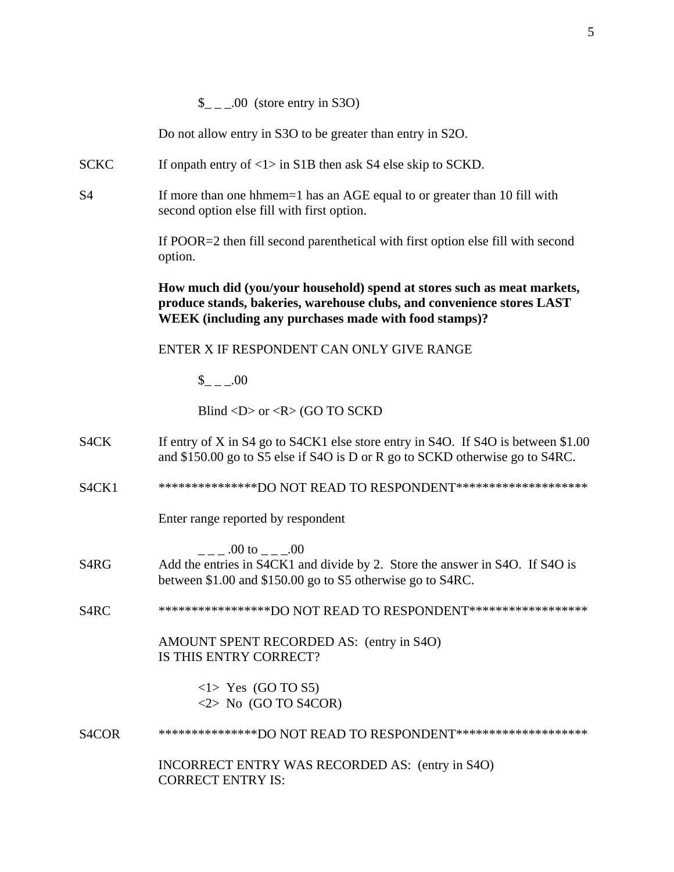Do not allow entry in S3O to be greater than entry in S2O.

- SCKC If onpath entry of  $\langle 1 \rangle$  in S1B then ask S4 else skip to SCKD.
- S4 If more than one hhmem=1 has an AGE equal to or greater than 10 fill with second option else fill with first option.

If POOR=2 then fill second parenthetical with first option else fill with second option.

**How much did (you/your household) spend at stores such as meat markets, produce stands, bakeries, warehouse clubs, and convenience stores LAST WEEK (including any purchases made with food stamps)?** 

ENTER X IF RESPONDENT CAN ONLY GIVE RANGE

 $\$\quad .00$ 

Blind <D> or <R> (GO TO SCKD

- S4CK If entry of X in S4 go to S4CK1 else store entry in S4O. If S4O is between \$1.00 and \$150.00 go to S5 else if S4O is D or R go to SCKD otherwise go to S4RC.
- S4CK1 \*\*\*\*\*\*\*\*\*\*\*\*\*\*\*\*DO NOT READ TO RESPONDENT\*\*\*\*\*\*\*\*\*\*\*\*\*\*\*\*\*\*\*\*\*

Enter range reported by respondent

 $\frac{1}{2} - 0.00100 - 0.000000$ 

- S4RG Add the entries in S4CK1 and divide by 2. Store the answer in S4O. If S4O is between \$1.00 and \$150.00 go to S5 otherwise go to S4RC.
- S4RC \*\*\*\*\*\*\*\*\*\*\*\*\*\*\*\*\*\*DO NOT READ TO RESPONDENT\*\*\*\*\*\*\*\*\*\*\*\*\*\*\*\*\*\*

AMOUNT SPENT RECORDED AS: (entry in S4O) IS THIS ENTRY CORRECT?

> <1> Yes (GO TO S5)  $\langle 2 \rangle$  No (GO TO S4COR)

S4COR \*\*\*\*\*\*\*\*\*\*\*\*\*\*\*DO NOT READ TO RESPONDENT\*\*\*\*\*\*\*\*\*\*\*\*\*\*\*\*\*\*\*\*

INCORRECT ENTRY WAS RECORDED AS: (entry in S4O) CORRECT ENTRY IS: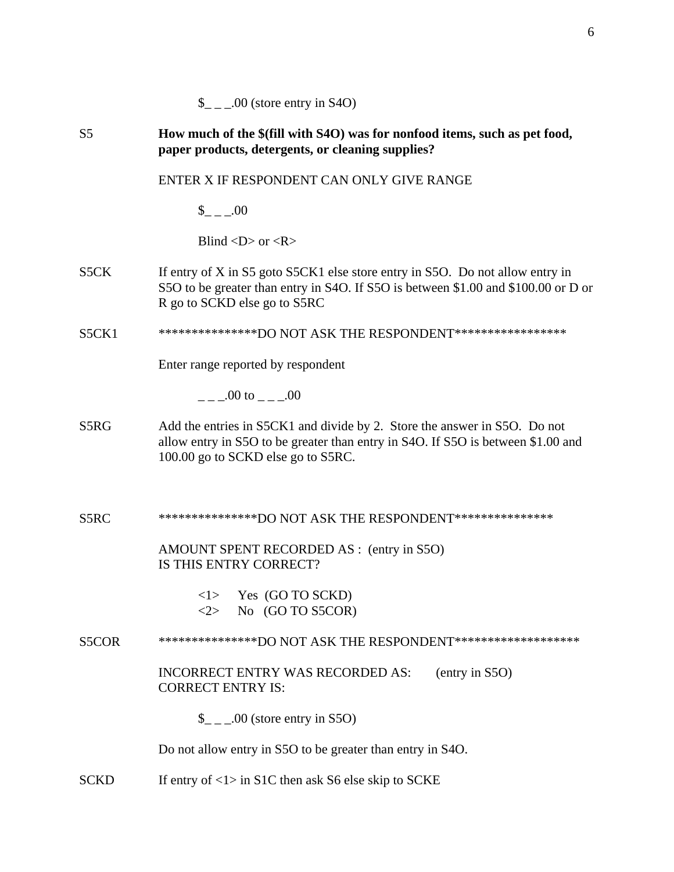|                | $\_{$ _ _ .00 (store entry in S4O)                                                                                                                                                                  |
|----------------|-----------------------------------------------------------------------------------------------------------------------------------------------------------------------------------------------------|
| S <sub>5</sub> | How much of the \$(fill with S4O) was for nonfood items, such as pet food,<br>paper products, detergents, or cleaning supplies?                                                                     |
|                | ENTER X IF RESPONDENT CAN ONLY GIVE RANGE                                                                                                                                                           |
|                | $_{--.00}$                                                                                                                                                                                          |
|                | Blind $\langle D \rangle$ or $\langle R \rangle$                                                                                                                                                    |
| S5CK           | If entry of X in S5 goto S5CK1 else store entry in S5O. Do not allow entry in<br>S5O to be greater than entry in S4O. If S5O is between \$1.00 and \$100.00 or D or<br>R go to SCKD else go to S5RC |
| S5CK1          | ****************DO NOT ASK THE RESPONDENT******************                                                                                                                                         |
|                | Enter range reported by respondent                                                                                                                                                                  |
|                |                                                                                                                                                                                                     |
| S5RG           | Add the entries in S5CK1 and divide by 2. Store the answer in S5O. Do not<br>allow entry in S5O to be greater than entry in S4O. If S5O is between \$1.00 and<br>100.00 go to SCKD else go to S5RC. |
| S5RC           | ****************DO NOT ASK THE RESPONDENT****************                                                                                                                                           |
|                | AMOUNT SPENT RECORDED AS : (entry in S5O)<br>IS THIS ENTRY CORRECT?                                                                                                                                 |
|                | Yes (GO TO SCKD)<br><1><br>No (GO TO S5COR)<br>$<\!\!2\!\!>$                                                                                                                                        |
| S5COR          | ****************DO NOT ASK THE RESPONDENT********************                                                                                                                                       |
|                | <b>INCORRECT ENTRY WAS RECORDED AS:</b><br>(entry in S5O)<br><b>CORRECT ENTRY IS:</b>                                                                                                               |
|                | $\_{$ _ _ .00 (store entry in S5O)                                                                                                                                                                  |
|                | Do not allow entry in S5O to be greater than entry in S4O.                                                                                                                                          |
| <b>SCKD</b>    | If entry of $\langle 1 \rangle$ in S1C then ask S6 else skip to SCKE                                                                                                                                |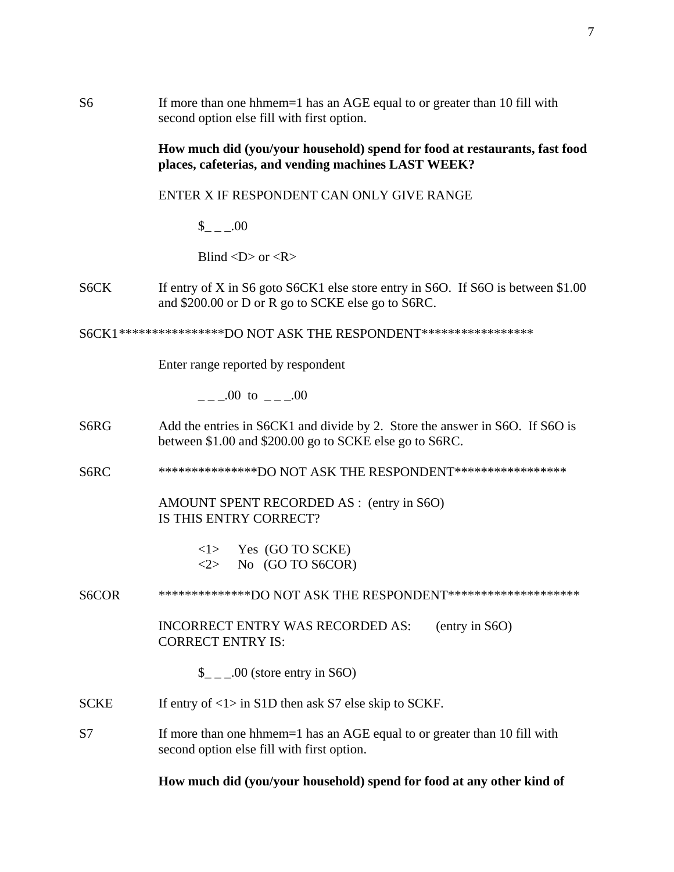S6 If more than one hhmem=1 has an AGE equal to or greater than 10 fill with second option else fill with first option.

### **How much did (you/your household) spend for food at restaurants, fast food places, cafeterias, and vending machines LAST WEEK?**

ENTER X IF RESPONDENT CAN ONLY GIVE RANGE

 $$ 00$ 

Blind  $\langle D \rangle$  or  $\langle R \rangle$ 

S6CK If entry of X in S6 goto S6CK1 else store entry in S6O. If S6O is between \$1.00 and \$200.00 or D or R go to SCKE else go to S6RC.

S6CK1 \*\*\*\*\*\*\*\*\*\*\*\*\*\*\*\*DO NOT ASK THE RESPONDENT\*\*\*\*\*\*\*\*\*\*\*\*\*\*\*\*\*

Enter range reported by respondent

 $.00 \text{ to } .00$ 

- S6RG Add the entries in S6CK1 and divide by 2. Store the answer in S6O. If S6O is between \$1.00 and \$200.00 go to SCKE else go to S6RC.
- S6RC \*\*\*\*\*\*\*\*\*\*\*\*\*\*\*\*DO NOT ASK THE RESPONDENT\*\*\*\*\*\*\*\*\*\*\*\*\*\*\*\*\*

AMOUNT SPENT RECORDED AS : (entry in S6O) IS THIS ENTRY CORRECT?

> $\langle$ 1> Yes (GO TO SCKE)  $\langle 2 \rangle$  No (GO TO S6COR)

S6COR \*\*\*\*\*\*\*\*\*\*\*\*\*\*\*DO NOT ASK THE RESPONDENT\*\*\*\*\*\*\*\*\*\*\*\*\*\*\*\*\*\*\*\*\*

INCORRECT ENTRY WAS RECORDED AS: (entry in S6O) CORRECT ENTRY IS:

 $\frac{\S}{\S}$  \_ \_ .00 (store entry in S6O)

- SCKE If entry of  $\langle 1 \rangle$  in S1D then ask S7 else skip to SCKF.
- S7 If more than one hhmem=1 has an AGE equal to or greater than 10 fill with second option else fill with first option.

**How much did (you/your household) spend for food at any other kind of**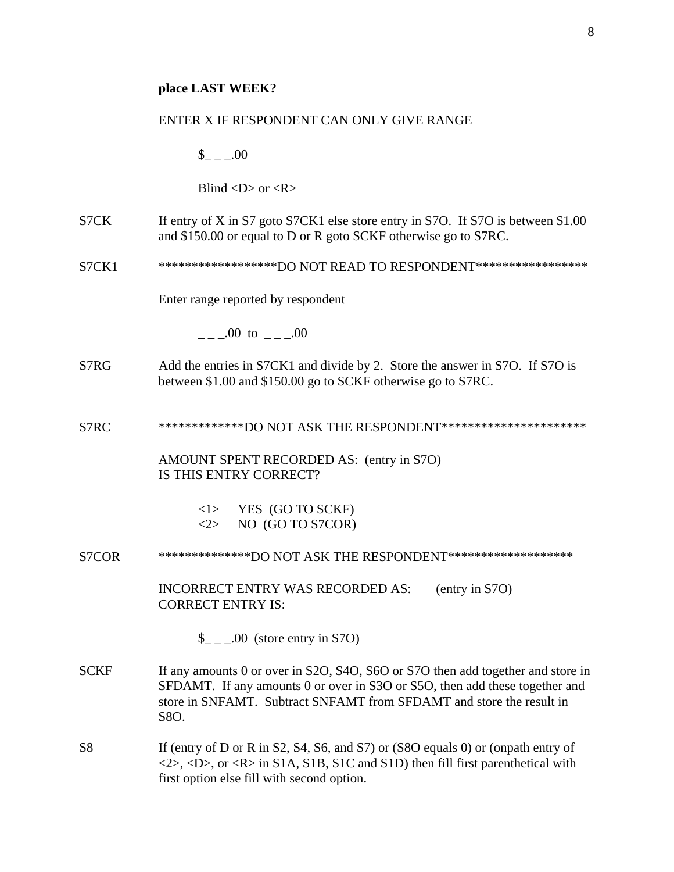#### ENTER X IF RESPONDENT CAN ONLY GIVE RANGE

 $_{\sim}$   $.00$ 

Blind  $\langle D \rangle$  or  $\langle R \rangle$ 

- S7CK If entry of X in S7 goto S7CK1 else store entry in S7O. If S7O is between \$1.00 and \$150.00 or equal to D or R goto SCKF otherwise go to S7RC.
- S7CK1 \*\*\*\*\*\*\*\*\*\*\*\*\*\*\*\*\*\*\*\*DO NOT READ TO RESPONDENT\*\*\*\*\*\*\*\*\*\*\*\*\*\*\*\*\*\*

Enter range reported by respondent

 $.00 \text{ to } .00$ 

- S7RG Add the entries in S7CK1 and divide by 2. Store the answer in S7O. If S7O is between \$1.00 and \$150.00 go to SCKF otherwise go to S7RC.
- S7RC \*\*\*\*\*\*\*\*\*\*\*\*\*\*DO NOT ASK THE RESPONDENT\*\*\*\*\*\*\*\*\*\*\*\*\*\*\*\*\*\*\*\*\*\*\*

AMOUNT SPENT RECORDED AS: (entry in S7O) IS THIS ENTRY CORRECT?

| < l >           | YES (GO TO SCKF) |
|-----------------|------------------|
| $< \!\!2 \!\!>$ | NO (GO TO S7COR) |

S7COR \*\*\*\*\*\*\*\*\*\*\*\*\*\*\*DO NOT ASK THE RESPONDENT\*\*\*\*\*\*\*\*\*\*\*\*\*\*\*\*\*\*\*\*

INCORRECT ENTRY WAS RECORDED AS: (entry in S7O) CORRECT ENTRY IS:

 $\frac{\S}{\S}$  \_ \_ .00 (store entry in S7O)

- SCKF If any amounts 0 or over in S2O, S4O, S6O or S7O then add together and store in SFDAMT. If any amounts 0 or over in S3O or S5O, then add these together and store in SNFAMT. Subtract SNFAMT from SFDAMT and store the result in S8O.
- S8 If (entry of D or R in S2, S4, S6, and S7) or (S8O equals 0) or (onpath entry of  $\langle 2 \rangle$ ,  $\langle D \rangle$ , or  $\langle R \rangle$  in S1A, S1B, S1C and S1D) then fill first parenthetical with first option else fill with second option.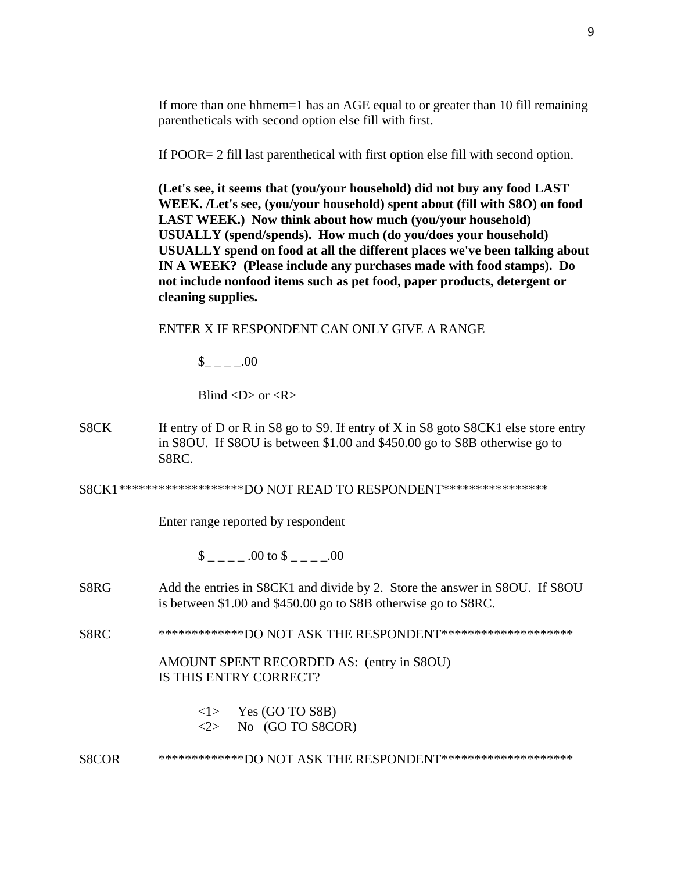If more than one hhmem=1 has an AGE equal to or greater than 10 fill remaining parentheticals with second option else fill with first.

If POOR= 2 fill last parenthetical with first option else fill with second option.

**(Let's see, it seems that (you/your household) did not buy any food LAST WEEK. /Let's see, (you/your household) spent about (fill with S8O) on food LAST WEEK.) Now think about how much (you/your household) USUALLY (spend/spends). How much (do you/does your household) USUALLY spend on food at all the different places we've been talking about IN A WEEK? (Please include any purchases made with food stamps). Do not include nonfood items such as pet food, paper products, detergent or cleaning supplies.** 

ENTER X IF RESPONDENT CAN ONLY GIVE A RANGE

 $_{- - -1}$ .00

Blind  $\langle D \rangle$  or  $\langle R \rangle$ 

S8CK If entry of D or R in S8 go to S9. If entry of X in S8 goto S8CK1 else store entry in S8OU. If S8OU is between \$1.00 and \$450.00 go to S8B otherwise go to S8RC.

S8CK1 \*\*\*\*\*\*\*\*\*\*\*\*\*\*\*\*\*\*\*DO NOT READ TO RESPONDENT\*\*\*\*\*\*\*\*\*\*\*\*\*\*\*\*

Enter range reported by respondent

 $\$\qquad 00 \text{ to } \$$  .00

- S8RG Add the entries in S8CK1 and divide by 2. Store the answer in S8OU. If S8OU is between \$1.00 and \$450.00 go to S8B otherwise go to S8RC.
- S8RC \*\*\*\*\*\*\*\*\*\*\*\*\*\*DO NOT ASK THE RESPONDENT\*\*\*\*\*\*\*\*\*\*\*\*\*\*\*\*\*\*\*\*\*

AMOUNT SPENT RECORDED AS: (entry in S8OU) IS THIS ENTRY CORRECT?

 $\langle$ 1> Yes (GO TO S8B)

 $\langle 2 \rangle$  No (GO TO S8COR)

S8COR \*\*\*\*\*\*\*\*\*\*\*\*\*\*DO NOT ASK THE RESPONDENT\*\*\*\*\*\*\*\*\*\*\*\*\*\*\*\*\*\*\*\*\*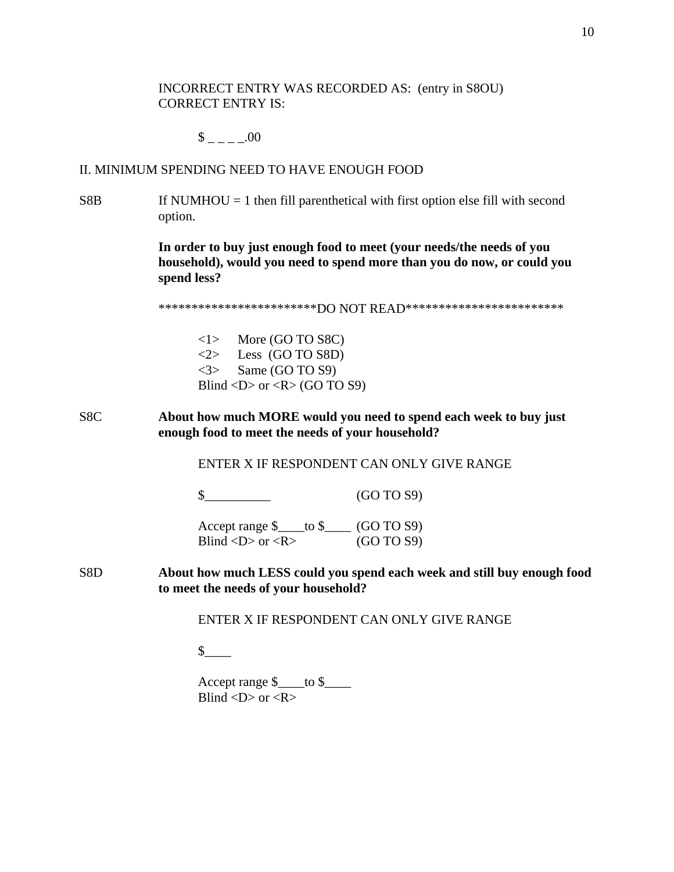INCORRECT ENTRY WAS RECORDED AS: (entry in S8OU) CORRECT ENTRY IS:

 $$$  \_ \_ \_ \_ .00

### II. MINIMUM SPENDING NEED TO HAVE ENOUGH FOOD

 $S8B$  If NUMHOU = 1 then fill parenthetical with first option else fill with second option.

> **In order to buy just enough food to meet (your needs/the needs of you household), would you need to spend more than you do now, or could you spend less?**

\*\*\*\*\*\*\*\*\*\*\*\*\*\*\*\*\*\*\*\*\*\*\*\*\*\*DO NOT READ\*\*\*\*\*\*\*\*\*\*\*\*\*\*\*\*\*\*\*\*\*\*\*\*\*\*\*

<1> More (GO TO S8C)  $\langle 2 \rangle$  Less (GO TO S8D)  $\langle 3 \rangle$  Same (GO TO S9) Blind  $\langle D \rangle$  or  $\langle R \rangle$  (GO TO S9)

S8C **About how much MORE would you need to spend each week to buy just enough food to meet the needs of your household?** 

ENTER X IF RESPONDENT CAN ONLY GIVE RANGE

\$\_\_\_\_\_\_\_\_\_\_ (GO TO S9)

 Accept range \$\_\_\_\_to \$\_\_\_\_ (GO TO S9) Blind  $\langle D \rangle$  or  $\langle R \rangle$  (GO TO S9)

S8D **About how much LESS could you spend each week and still buy enough food to meet the needs of your household?** 

ENTER X IF RESPONDENT CAN ONLY GIVE RANGE

 $\uparrow$ 

 Accept range \$\_\_\_\_to \$\_\_\_\_ Blind  $\langle D \rangle$  or  $\langle R \rangle$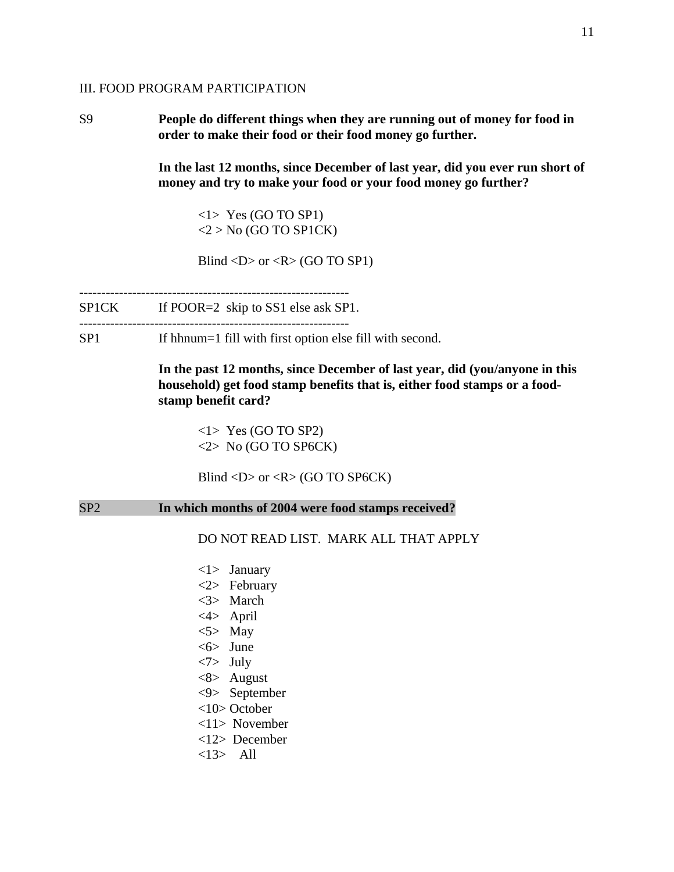### III. FOOD PROGRAM PARTICIPATION

S9 **People do different things when they are running out of money for food in order to make their food or their food money go further.** 

> **In the last 12 months, since December of last year, did you ever run short of money and try to make your food or your food money go further?**

<1> Yes (GO TO SP1)  $<$ 2 > No (GO TO SP1CK)

Blind  $\langle D \rangle$  or  $\langle R \rangle$  (GO TO SP1)

**-**------------------------------------------------------------

SP1CK If POOR=2 skip to SS1 else ask SP1. -------------------------------------------------------------

SP1 If hhnum=1 fill with first option else fill with second.

**In the past 12 months, since December of last year, did (you/anyone in this household) get food stamp benefits that is, either food stamps or a foodstamp benefit card?** 

<1> Yes (GO TO SP2)  $\langle 2 \rangle$  No (GO TO SP6CK)

Blind  $\langle D \rangle$  or  $\langle R \rangle$  (GO TO SP6CK)

### SP2 **In which months of 2004 were food stamps received?**

DO NOT READ LIST. MARK ALL THAT APPLY

 <1> January <2> February <3> March <4> April  $<$ 5> May <6> June <7> July <8> August <9> September <10> October <11> November <12> December <13> All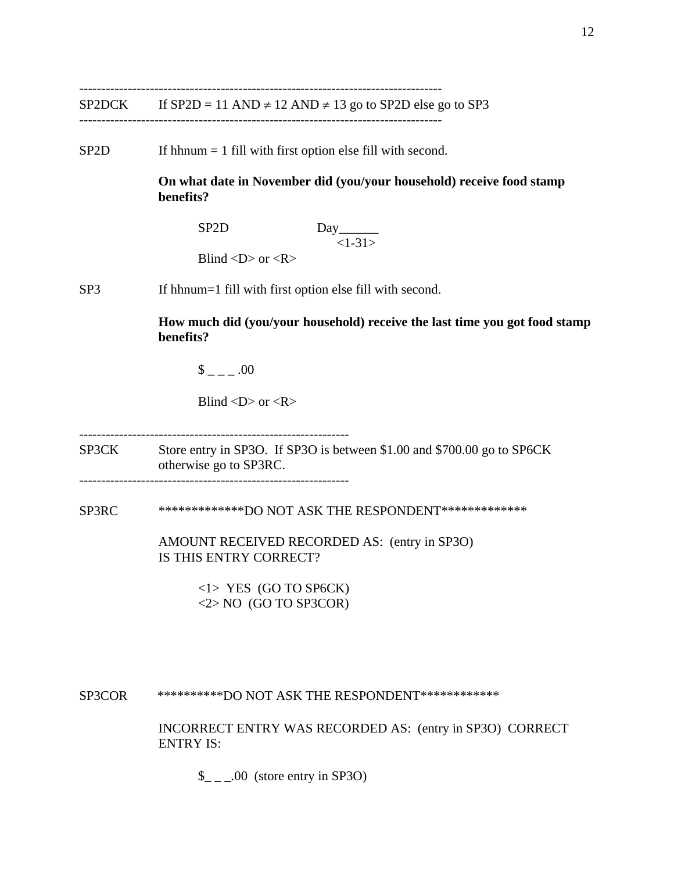----------------------------------------------------------------------------------

SP2D If hhnum = 1 fill with first option else fill with second.

 **On what date in November did (you/your household) receive food stamp benefits?** 

**SP2D** Day  $<1-31>$ 

Blind  $\langle D \rangle$  or  $\langle R \rangle$ 

SP3 If hhnum=1 fill with first option else fill with second.

**How much did (you/your household) receive the last time you got food stamp benefits?**

 $\$\quad .00$ 

Blind  $\langle D \rangle$  or  $\langle R \rangle$ 

------------------------------------------------------------- SP3CK Store entry in SP3O. If SP3O is between \$1.00 and \$700.00 go to SP6CK otherwise go to SP3RC. -------------------------------------------------------------

SP3RC \*\*\*\*\*\*\*\*\*\*\*\*\*DO NOT ASK THE RESPONDENT\*\*\*\*\*\*\*\*\*\*\*\*\*

 AMOUNT RECEIVED RECORDED AS: (entry in SP3O) IS THIS ENTRY CORRECT?

> <1> YES (GO TO SP6CK) <2> NO (GO TO SP3COR)

SP3COR \*\*\*\*\*\*\*\*\*\*\*DO NOT ASK THE RESPONDENT\*\*\*\*\*\*\*\*\*\*\*\*\*

INCORRECT ENTRY WAS RECORDED AS: (entry in SP3O) CORRECT ENTRY IS:

 $\_{\_ \_ \_ \_0}$ .00 (store entry in SP3O)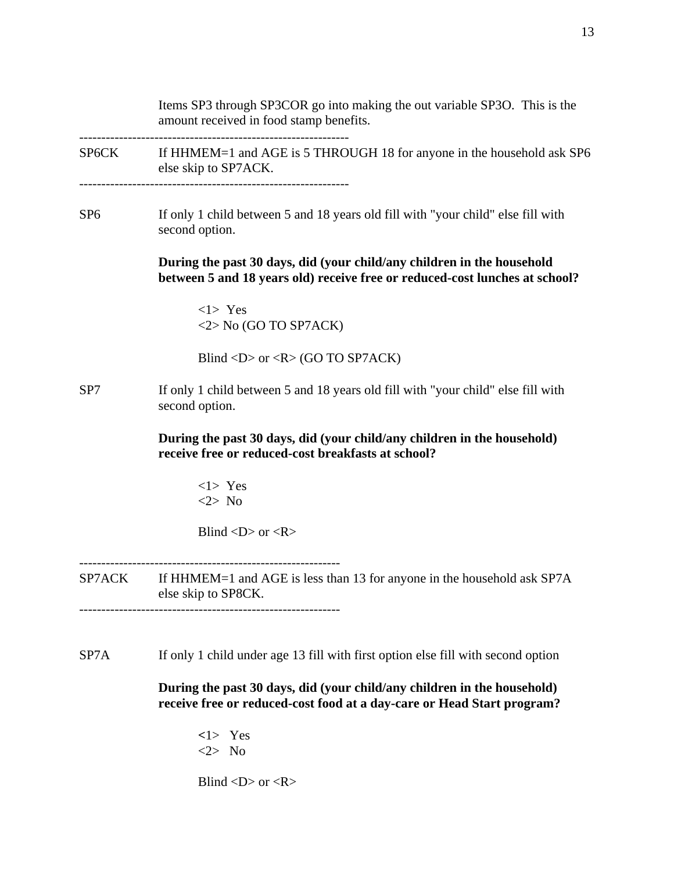Items SP3 through SP3COR go into making the out variable SP3O. This is the amount received in food stamp benefits. ------------------------------------------------------------- SP6CK If HHMEM=1 and AGE is 5 THROUGH 18 for anyone in the household ask SP6 else skip to SP7ACK. ------------------------------------------------------------- SP6 If only 1 child between 5 and 18 years old fill with "your child" else fill with second option. **During the past 30 days, did (your child/any children in the household between 5 and 18 years old) receive free or reduced-cost lunches at school?** <1> Yes <2> No (GO TO SP7ACK) Blind <D> or < $R$ > (GO TO SP7ACK) SP7 If only 1 child between 5 and 18 years old fill with "your child" else fill with second option. **During the past 30 days, did (your child/any children in the household) receive free or reduced-cost breakfasts at school?** <1> Yes <2> No Blind  $\langle D \rangle$  or  $\langle R \rangle$ ----------------------------------------------------------- SP7ACK If HHMEM=1 and AGE is less than 13 for anyone in the household ask SP7A else skip to SP8CK. ----------------------------------------------------------- SP7A If only 1 child under age 13 fill with first option else fill with second option **During the past 30 days, did (your child/any children in the household)** 

**receive free or reduced-cost food at a day-care or Head Start program?**

**<**1> Yes <2> No

Blind  $\langle D \rangle$  or  $\langle R \rangle$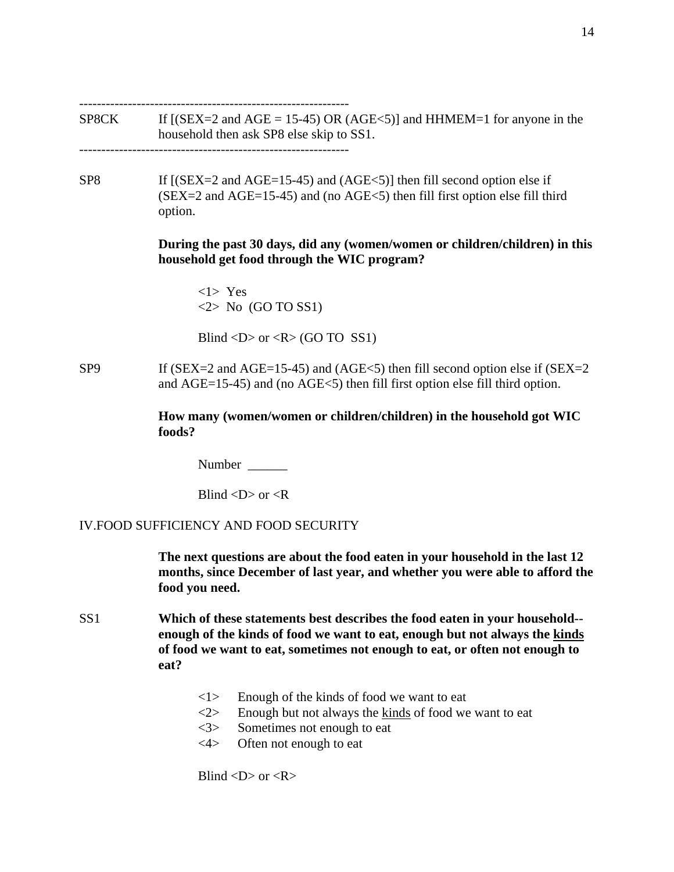-------------------------------------------------------------

SP8CK If  $[(SEX = 2 \text{ and } AGE = 15-45) \text{ OR } (AGE < 5)]$  and HHMEM=1 for anyone in the household then ask SP8 else skip to SS1.

-------------------------------------------------------------

SP8 If  $[(SEX=2 \text{ and } AGE=15-45)$  and  $(AGE<5)$ ] then fill second option else if  $(SEX = 2$  and  $AGE = 15-45)$  and (no  $AGE < 5$ ) then fill first option else fill third option.

### **During the past 30 days, did any (women/women or children/children) in this household get food through the WIC program?**

 <1> Yes  $\langle 2 \rangle$  No (GO TO SS1)

Blind  $\langle D \rangle$  or  $\langle R \rangle$  (GO TO SS1)

SP9 If (SEX=2 and AGE=15-45) and (AGE<5) then fill second option else if (SEX=2 and AGE=15-45) and (no AGE<5) then fill first option else fill third option.

> **How many (women/women or children/children) in the household got WIC foods?**

Number  $\blacksquare$ 

Blind  $\langle D \rangle$  or  $\langle R \rangle$ 

### IV.FOOD SUFFICIENCY AND FOOD SECURITY

**The next questions are about the food eaten in your household in the last 12 months, since December of last year, and whether you were able to afford the food you need.** 

- SS1 **Which of these statements best describes the food eaten in your household- enough of the kinds of food we want to eat, enough but not always the kinds of food we want to eat, sometimes not enough to eat, or often not enough to eat?**
	- $\langle 1 \rangle$  Enough of the kinds of food we want to eat
	- $\langle 2 \rangle$  Enough but not always the kinds of food we want to eat
	- <3> Sometimes not enough to eat
	- <4> Often not enough to eat

Blind  $\langle D \rangle$  or  $\langle R \rangle$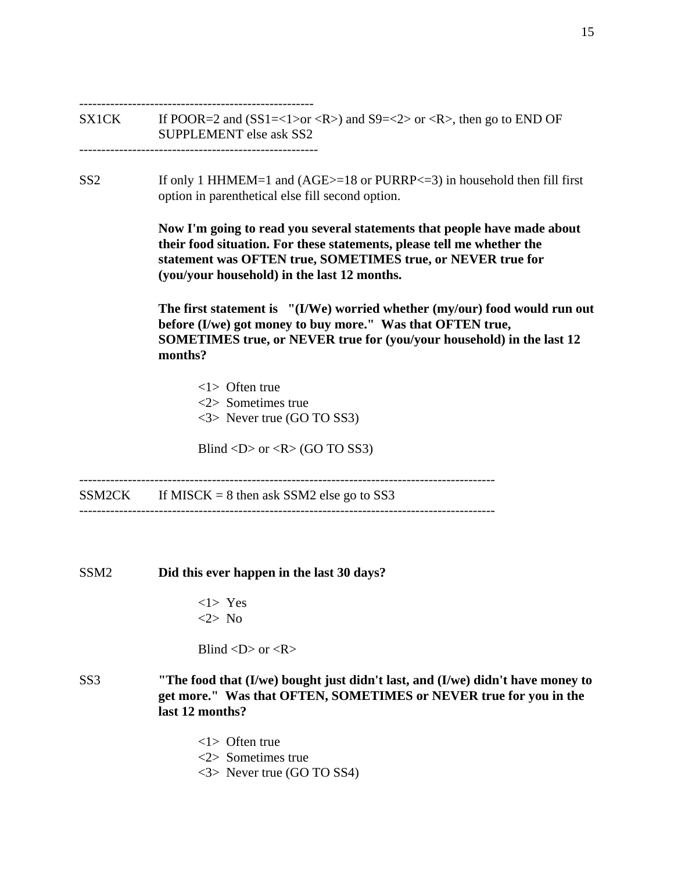----------------------------------------------------- SX1CK If POOR=2 and  $(SSI=<1>or$ ) and  $S9=<2> or$ , then go to END OF SUPPLEMENT else ask SS2 ------------------------------------------------------ SS2 If only 1 HHMEM=1 and (AGE>=18 or PURRP<=3) in household then fill first option in parenthetical else fill second option. **Now I'm going to read you several statements that people have made about their food situation. For these statements, please tell me whether the statement was OFTEN true, SOMETIMES true, or NEVER true for (you/your household) in the last 12 months. The first statement is "(I/We) worried whether (my/our) food would run out before (I/we) got money to buy more." Was that OFTEN true, SOMETIMES true, or NEVER true for (you/your household) in the last 12 months?**  <1> Often true <2> Sometimes true <3> Never true (GO TO SS3) Blind  $\langle D \rangle$  or  $\langle R \rangle$  (GO TO SS3) ----------------------------------------------------------------------------------------------  $SSM2CK$  If MISCK = 8 then ask SSM2 else go to SS3 ---------------------------------------------------------------------------------------------- SSM2 **Did this ever happen in the last 30 days?**   $<$ 1> Yes <2> No Blind  $\langle D \rangle$  or  $\langle R \rangle$ SS3 **"The food that (I/we) bought just didn't last, and (I/we) didn't have money to get more." Was that OFTEN, SOMETIMES or NEVER true for you in the last 12 months?**  <1> Often true <2> Sometimes true

<3> Never true (GO TO SS4)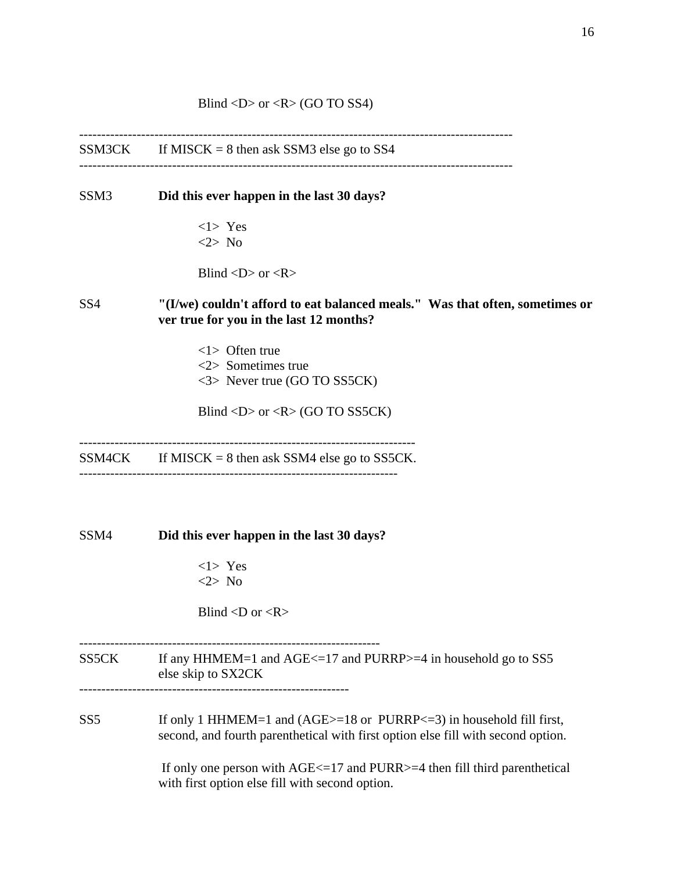$SSM3CK$  If MISCK = 8 then ask SSM3 else go to SS4

--------------------------------------------------------------------------------------------------

SSM3 **Did this ever happen in the last 30 days?** 

 $<1>$  Yes <2> No

Blind  $\langle D \rangle$  or  $\langle R \rangle$ 

# SS4 **"(I/we) couldn't afford to eat balanced meals." Was that often, sometimes or ver true for you in the last 12 months?**

--------------------------------------------------------------------------------------------------

 <1> Often true <2> Sometimes true <3> Never true (GO TO SS5CK)

Blind  $\langle D \rangle$  or  $\langle R \rangle$  (GO TO SS5CK)

----------------------------------------------------------------------------

 $SSM4CK$  If MISCK = 8 then ask SSM4 else go to SS5CK. ------------------------------------------------------------------------

SSM4 **Did this ever happen in the last 30 days?** 

<1> Yes <2> No

Blind  $\langle D \text{ or } \langle R \rangle$ 

# SS5CK If any HHMEM=1 and AGE<=17 and PURRP>=4 in household go to SS5 else skip to SX2CK

--------------------------------------------------------------------

-------------------------------------------------------------

SS5 If only 1 HHMEM=1 and (AGE>=18 or PURRP<=3) in household fill first, second, and fourth parenthetical with first option else fill with second option.

> If only one person with  $AGE \leq 17$  and PURR $> = 4$  then fill third parenthetical with first option else fill with second option.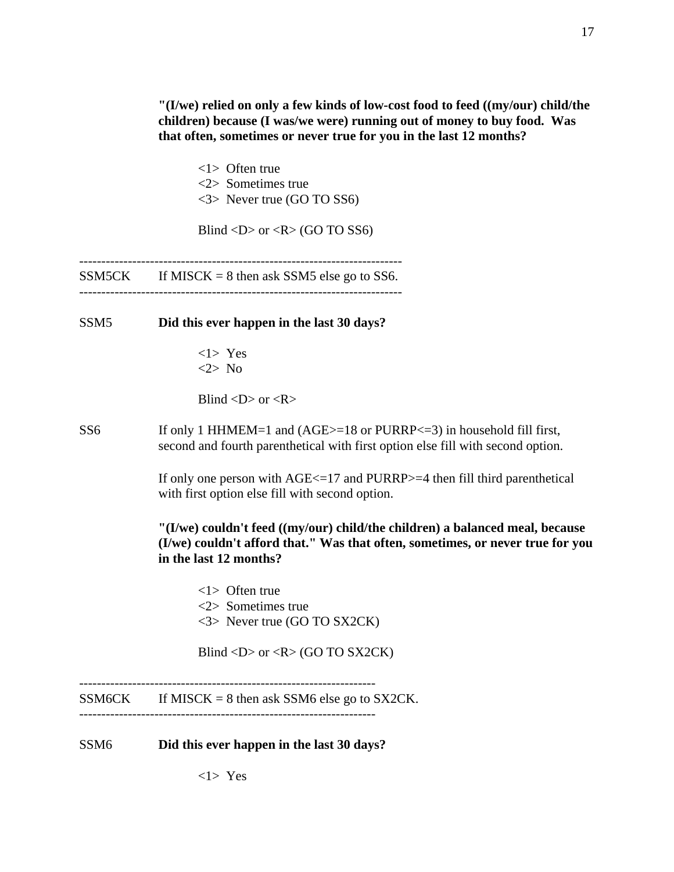**"(I/we) relied on only a few kinds of low-cost food to feed ((my/our) child/the children) because (I was/we were) running out of money to buy food. Was that often, sometimes or never true for you in the last 12 months?** 

<1> Often true <2> Sometimes true <3> Never true (GO TO SS6)

Blind  $\langle D \rangle$  or  $\langle R \rangle$  (GO TO SS6)

-------------------------------------------------------------------------  $SSM5CK$  If MISCK = 8 then ask SSM5 else go to SS6.

-------------------------------------------------------------------------

SSM5 **Did this ever happen in the last 30 days?** 

 $<1>$  Yes <2> No

Blind  $\langle D \rangle$  or  $\langle R \rangle$ 

SS6 If only 1 HHMEM=1 and (AGE>=18 or PURRP<=3) in household fill first, second and fourth parenthetical with first option else fill with second option.

> If only one person with  $AGE \leq 17$  and PURRP $> = 4$  then fill third parenthetical with first option else fill with second option.

**"(I/we) couldn't feed ((my/our) child/the children) a balanced meal, because (I/we) couldn't afford that." Was that often, sometimes, or never true for you in the last 12 months?**

<1> Often true <2> Sometimes true <3> Never true (GO TO SX2CK)

Blind <D> or < $R$ > (GO TO SX2CK)

------------------------------------------------------------------- SSM6CK If MISCK = 8 then ask SSM6 else go to SX2CK. -------------------------------------------------------------------

SSM6 **Did this ever happen in the last 30 days?** 

17

 $<1>$  Yes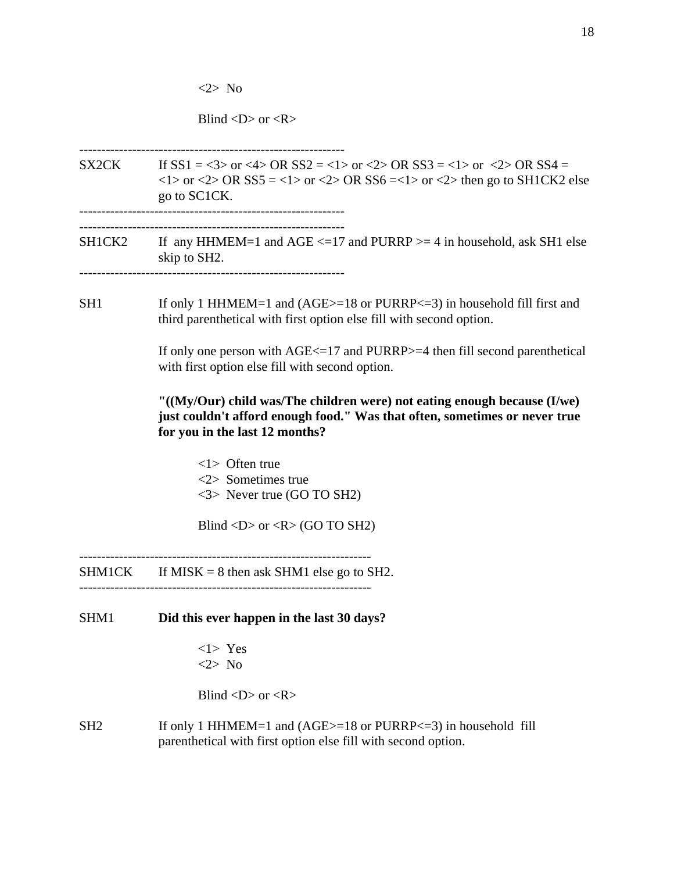<2> No

Blind  $\langle D \rangle$  or  $\langle R \rangle$ 

------------------------------------------------------------

SX2CK If  $SS1 = <3>$  or  $<4>$  OR  $SS2 = <1>$  or  $<2>$  OR  $SS3 = <1>$  or  $<2>$  OR  $SS4 =$  $\langle$ 1> or  $\langle$ 2> OR SS5 =  $\langle$ 1> or  $\langle$ 2> OR SS6 =  $\langle$ 1> or  $\langle$ 2> then go to SH1CK2 else go to SC1CK. ------------------------------------------------------------

------------------------------------------------------------

SH1CK2 If any HHMEM=1 and AGE  $\le$  =17 and PURRP  $>$  = 4 in household, ask SH1 else skip to SH2.

------------------------------------------------------------

SH1 If only 1 HHMEM=1 and (AGE>=18 or PURRP<=3) in household fill first and third parenthetical with first option else fill with second option.

> If only one person with AGE<=17 and PURRP>=4 then fill second parenthetical with first option else fill with second option.

# **"((My/Our) child was/The children were) not eating enough because (I/we) just couldn't afford enough food." Was that often, sometimes or never true for you in the last 12 months?**

<1> Often true <2> Sometimes true <3> Never true (GO TO SH2)

Blind <D> or < $R$ > (GO TO SH2)

 $SHM1CK$  If MISK = 8 then ask SHM1 else go to SH2.

------------------------------------------------------------------

- SHM1 **Did this ever happen in the last 30 days?**
	- <1> Yes <2> No

Blind  $\langle D \rangle$  or  $\langle R \rangle$ 

SH2 If only 1 HHMEM=1 and (AGE>=18 or PURRP<=3) in household fill parenthetical with first option else fill with second option.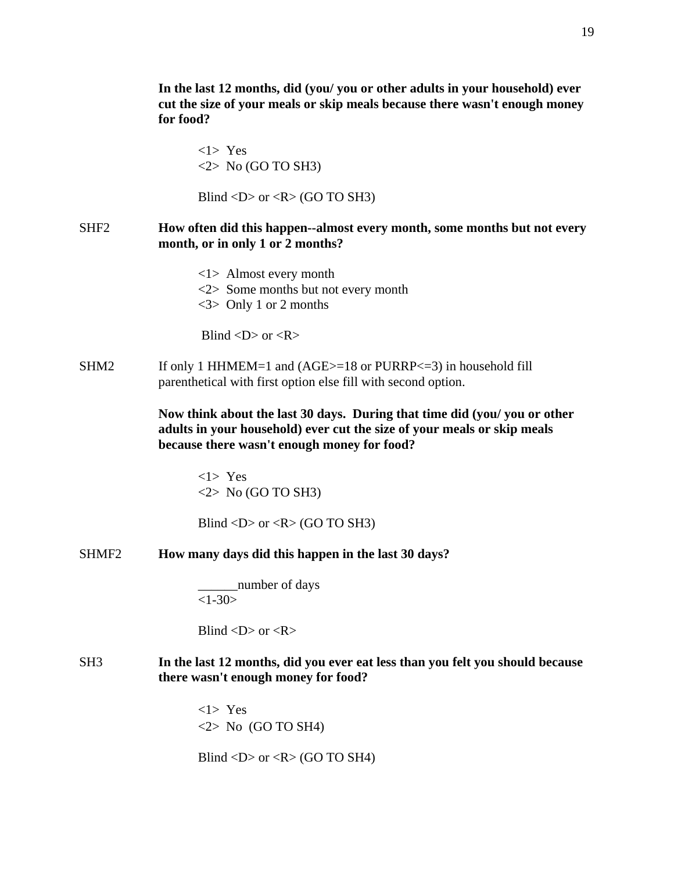**In the last 12 months, did (you/ you or other adults in your household) ever cut the size of your meals or skip meals because there wasn't enough money for food?**

<1> Yes  $\langle 2 \rangle$  No (GO TO SH3)

Blind  $\langle D \rangle$  or  $\langle R \rangle$  (GO TO SH3)

## SHF2 **How often did this happen--almost every month, some months but not every month, or in only 1 or 2 months?**

<1> Almost every month <2> Some months but not every month <3> Only 1 or 2 months

Blind  $\langle D \rangle$  or  $\langle R \rangle$ 

 $SHM2$  If only 1 HHMEM=1 and (AGE $>=$ 18 or PURRP $<=$ 3) in household fill parenthetical with first option else fill with second option.

> **Now think about the last 30 days. During that time did (you/ you or other adults in your household) ever cut the size of your meals or skip meals because there wasn't enough money for food?**

<1> Yes  $\langle 2 \rangle$  No (GO TO SH3)

Blind  $\langle D \rangle$  or  $\langle R \rangle$  (GO TO SH3)

SHMF2 **How many days did this happen in the last 30 days?** 

\_\_\_\_\_\_number of days  $<1-30>$ 

Blind  $\langle D \rangle$  or  $\langle R \rangle$ 

# SH3 **In the last 12 months, did you ever eat less than you felt you should because there wasn't enough money for food?**

<1> Yes  $\langle 2 \rangle$  No (GO TO SH4)

Blind  $\langle D \rangle$  or  $\langle R \rangle$  (GO TO SH4)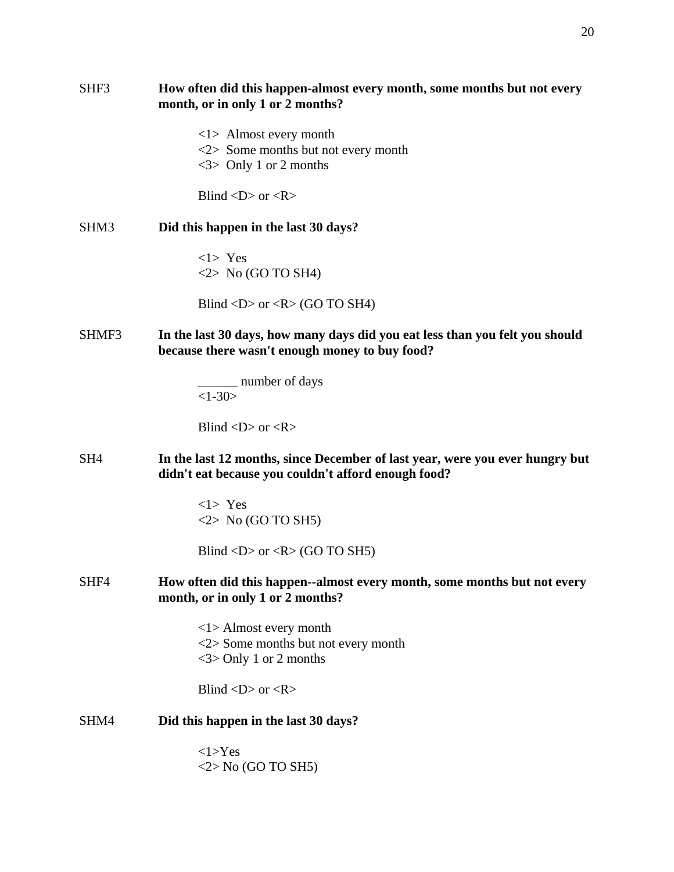| SHF3            | How often did this happen-almost every month, some months but not every<br>month, or in only 1 or 2 months?                         |
|-----------------|-------------------------------------------------------------------------------------------------------------------------------------|
|                 | $\langle 1 \rangle$ Almost every month<br>$<$ 2> Some months but not every month                                                    |
|                 | $\langle 3 \rangle$ Only 1 or 2 months                                                                                              |
|                 | Blind $\langle D \rangle$ or $\langle R \rangle$                                                                                    |
| SHM3            | Did this happen in the last 30 days?                                                                                                |
|                 | $<1>$ Yes<br>$\langle 2 \rangle$ No (GO TO SH4)                                                                                     |
|                 | Blind <d> or <r> <math>(R &gt; GO</math> TO SH4)</r></d>                                                                            |
| SHMF3           | In the last 30 days, how many days did you eat less than you felt you should<br>because there wasn't enough money to buy food?      |
|                 | ______ number of days<br>$<1-30>$                                                                                                   |
|                 | Blind $\langle D \rangle$ or $\langle R \rangle$                                                                                    |
| SH <sub>4</sub> | In the last 12 months, since December of last year, were you ever hungry but<br>didn't eat because you couldn't afford enough food? |
|                 | $<1>$ Yes<br>$\langle 2 \rangle$ No (GO TO SH5)                                                                                     |
|                 | Blind <d> or <r> <math>(R &gt; GO</math> TO SH5)</r></d>                                                                            |
| SHF4            | How often did this happen--almost every month, some months but not every<br>month, or in only 1 or 2 months?                        |
|                 | $\langle 1 \rangle$ Almost every month<br>$\langle 2 \rangle$ Some months but not every month<br>$<$ 3> Only 1 or 2 months          |
|                 | Blind < $D$ > or < $R$ >                                                                                                            |
| SHM4            | Did this happen in the last 30 days?                                                                                                |
|                 | <1>Yes<br>$\langle 2 \rangle$ No (GO TO SH5)                                                                                        |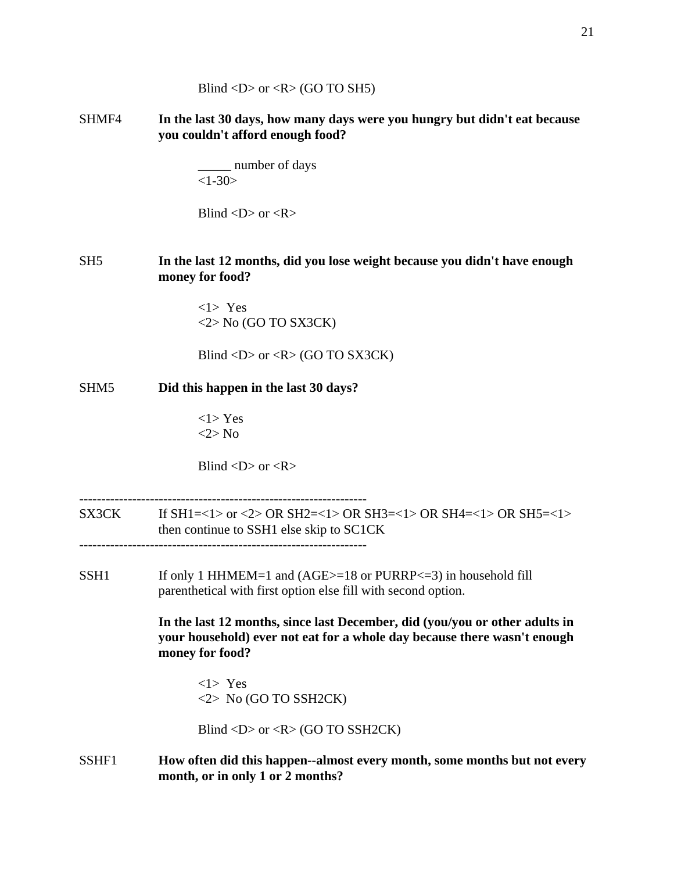|                  | you couldn't afford enough food?                                                                                                                                           |
|------------------|----------------------------------------------------------------------------------------------------------------------------------------------------------------------------|
|                  | _______ number of days<br>$<1-30>$                                                                                                                                         |
|                  | Blind $\langle D \rangle$ or $\langle R \rangle$                                                                                                                           |
| SH <sub>5</sub>  | In the last 12 months, did you lose weight because you didn't have enough<br>money for food?                                                                               |
|                  | $<1>$ Yes<br>$\langle 2 \rangle$ No (GO TO SX3CK)                                                                                                                          |
|                  | Blind <d> or <r> <math>(R&gt;</math> (GO TO SX3CK)</r></d>                                                                                                                 |
| SHM <sub>5</sub> | Did this happen in the last 30 days?                                                                                                                                       |
|                  | $<1>$ Yes<br>$<2>$ No                                                                                                                                                      |
|                  | Blind $\langle D \rangle$ or $\langle R \rangle$                                                                                                                           |
| SX3CK            | If SH1=<1> or <2> OR SH2=<1> OR SH3=<1> OR SH4=<1> OR SH5=<1><br>then continue to SSH1 else skip to SC1CK                                                                  |
| SSH <sub>1</sub> | If only 1 HHMEM=1 and $(AGE>=18$ or PURRP $<=3$ in household fill<br>parenthetical with first option else fill with second option.                                         |
|                  | In the last 12 months, since last December, did (you/you or other adults in<br>your household) ever not eat for a whole day because there wasn't enough<br>money for food? |
|                  | $<1>$ Yes<br>$\langle 2 \rangle$ No (GO TO SSH2CK)                                                                                                                         |
|                  | Blind <d> or <r> <math>(R &gt; GO</math> TO SSH2CK)</r></d>                                                                                                                |
| SSHF1            | How often did this happen--almost every month, some months but not every<br>month, or in only 1 or 2 months?                                                               |
|                  |                                                                                                                                                                            |

Blind <D> or <R> (GO TO SH5)

SHMF4 **In the last 30 days, how many days were you hungry but didn't eat because you couldn't afford enough food?**

# SH5 **In the last 12 months, did you lose weight because you didn't have enough money for food?**

- SX3CK If SH1=<1> or <2> OR SH2=<1> OR SH3=<1> OR SH4=<1> OR SH5=<1>
- -----------------------------------------------------------------
- SSH1 If only 1 HHMEM=1 and (AGE>=18 or PURRP<=3) in household fill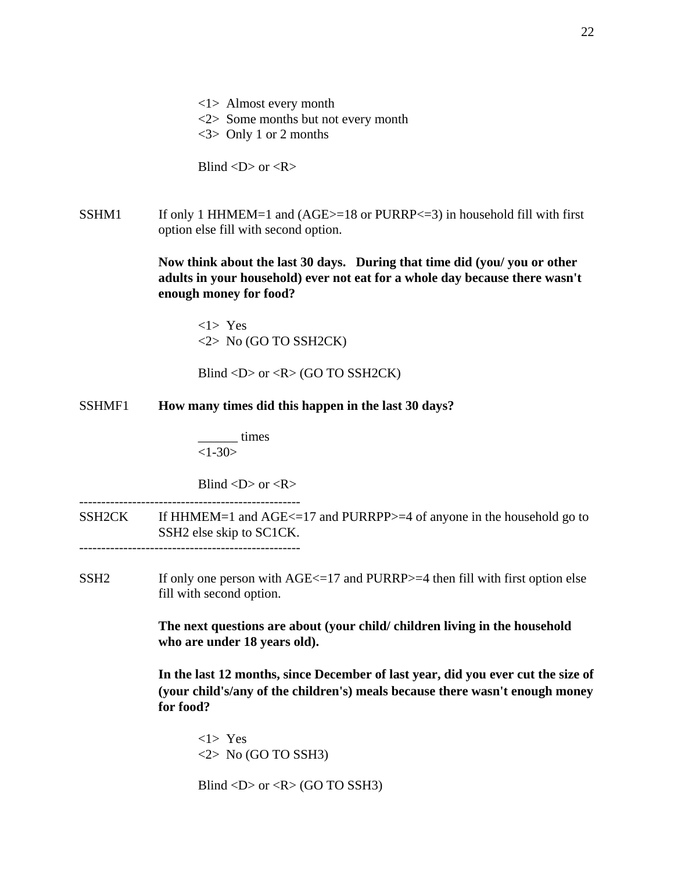- <1> Almost every month <2> Some months but not every month
- <3> Only 1 or 2 months

Blind  $\langle D \rangle$  or  $\langle R \rangle$ 

SSHM1 If only 1 HHMEM=1 and  $(AGE>=18$  or PURRP $<=3$ ) in household fill with first option else fill with second option.

> **Now think about the last 30 days. During that time did (you/ you or other adults in your household) ever not eat for a whole day because there wasn't enough money for food?**

<1> Yes <2> No (GO TO SSH2CK)

Blind  $\langle D \rangle$  or  $\langle R \rangle$  (GO TO SSH2CK)

SSHMF1 **How many times did this happen in the last 30 days?**

\_\_\_\_\_\_ times  $<1-30>$ 

Blind  $\langle D \rangle$  or  $\langle R \rangle$ 

SSH2CK If HHMEM=1 and AGE<=17 and PURRPP>=4 of anyone in the household go to SSH2 else skip to SC1CK. --------------------------------------------------

SSH2 If only one person with  $AGE \le 17$  and PURRP $> = 4$  then fill with first option else fill with second option.

> **The next questions are about (your child/ children living in the household who are under 18 years old).**

**In the last 12 months, since December of last year, did you ever cut the size of (your child's/any of the children's) meals because there wasn't enough money for food?** 

<1> Yes <2> No (GO TO SSH3)

Blind  $\langle D \rangle$  or  $\langle R \rangle$  (GO TO SSH3)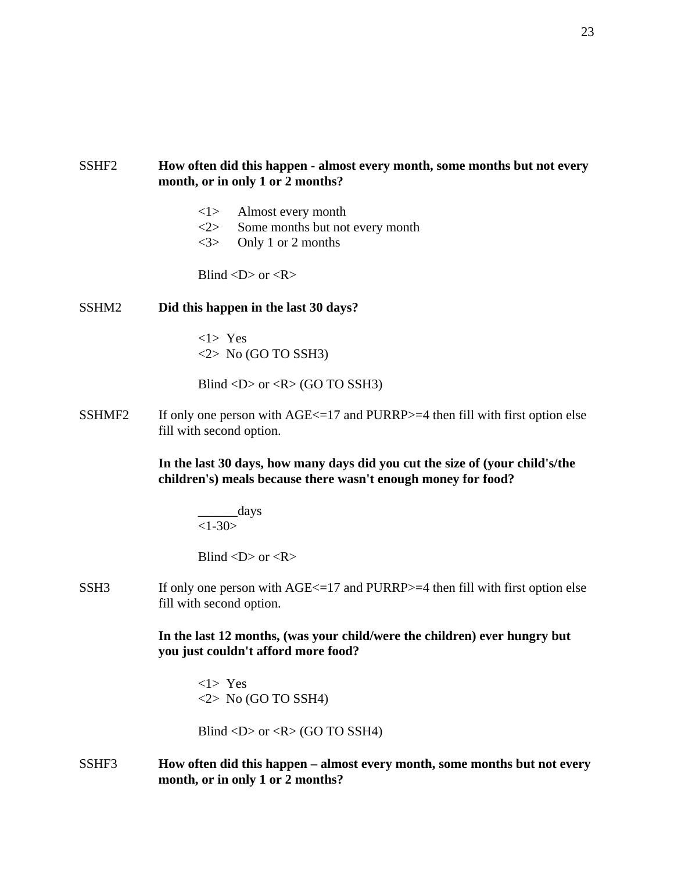# SSHF2 **How often did this happen - almost every month, some months but not every month, or in only 1 or 2 months?**

- <1> Almost every month
- <2> Some months but not every month
- <3> Only 1 or 2 months

Blind  $\langle D \rangle$  or  $\langle R \rangle$ 

### SSHM2 **Did this happen in the last 30 days?**

<1> Yes  $\langle 2 \rangle$  No (GO TO SSH3)

Blind  $\langle D \rangle$  or  $\langle R \rangle$  (GO TO SSH3)

SSHMF2 If only one person with  $AGE \le 17$  and PURRP $> = 4$  then fill with first option else fill with second option.

> **In the last 30 days, how many days did you cut the size of (your child's/the children's) meals because there wasn't enough money for food?**

\_\_\_\_\_\_days  $<1-30>$ 

Blind  $\langle D \rangle$  or  $\langle R \rangle$ 

SSH3 If only one person with  $AGE \le 17$  and PURRP $> = 4$  then fill with first option else fill with second option.

# **In the last 12 months, (was your child/were the children) ever hungry but you just couldn't afford more food?**

<1> Yes  $\langle 2 \rangle$  No (GO TO SSH4)

Blind  $\langle D \rangle$  or  $\langle R \rangle$  (GO TO SSH4)

SSHF3 **How often did this happen – almost every month, some months but not every month, or in only 1 or 2 months?**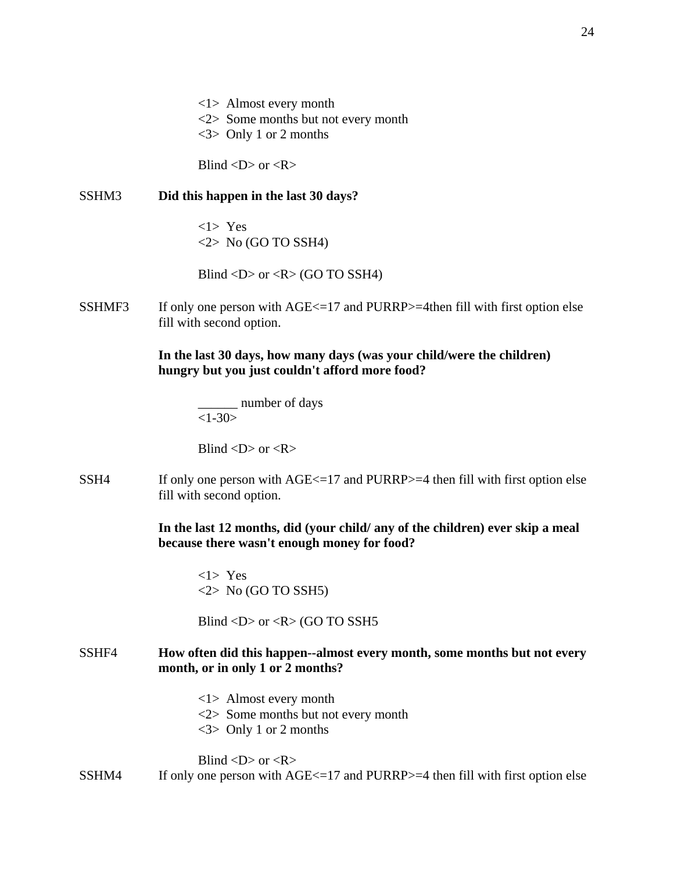<1> Almost every month <2> Some months but not every month

<3> Only 1 or 2 months

Blind  $\langle D \rangle$  or  $\langle R \rangle$ 

SSHM3 **Did this happen in the last 30 days?**

<1> Yes  $\langle 2 \rangle$  No (GO TO SSH4)

Blind  $\langle D \rangle$  or  $\langle R \rangle$  (GO TO SSH4)

SSHMF3 If only one person with  $AGE \le 17$  and PURRP $> = 4$ then fill with first option else fill with second option.

> **In the last 30 days, how many days (was your child/were the children) hungry but you just couldn't afford more food?**

\_\_\_\_\_\_ number of days  $<1-30>$ 

Blind  $\langle D \rangle$  or  $\langle R \rangle$ 

SSH4 If only one person with  $AGE \le 17$  and PURRP $> = 4$  then fill with first option else fill with second option.

> **In the last 12 months, did (your child/ any of the children) ever skip a meal because there wasn't enough money for food?**

<1> Yes  $\langle 2 \rangle$  No (GO TO SSH5)

Blind <D> or <R> (GO TO SSH5

### SSHF4 **How often did this happen--almost every month, some months but not every month, or in only 1 or 2 months?**

<1> Almost every month <2> Some months but not every month <3> Only 1 or 2 months

Blind  $\langle D \rangle$  or  $\langle R \rangle$ SSHM4 If only one person with  $AGE \le 17$  and PURRP $> = 4$  then fill with first option else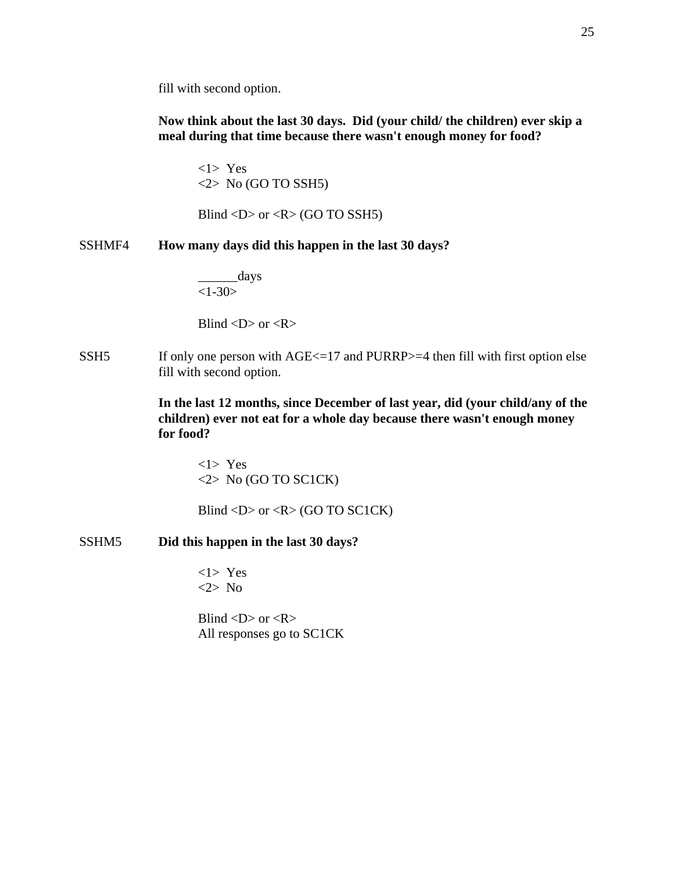fill with second option.

**Now think about the last 30 days. Did (your child/ the children) ever skip a meal during that time because there wasn't enough money for food?**

<1> Yes  $\langle 2 \rangle$  No (GO TO SSH5)

Blind <D> or < $R$ > (GO TO SSH5)

SSHMF4 **How many days did this happen in the last 30 days?**

\_\_\_\_\_\_days  $<1-30>$ 

Blind  $\langle D \rangle$  or  $\langle R \rangle$ 

SSH5 If only one person with  $AGE \le 17$  and PURRP $> = 4$  then fill with first option else fill with second option.

> **In the last 12 months, since December of last year, did (your child/any of the children) ever not eat for a whole day because there wasn't enough money for food?**

<1> Yes <2> No (GO TO SC1CK)

Blind <D> or < $R$ > (GO TO SC1CK)

### SSHM5 **Did this happen in the last 30 days?**

<1> Yes <2> No

Blind  $\langle D \rangle$  or  $\langle R \rangle$ All responses go to SC1CK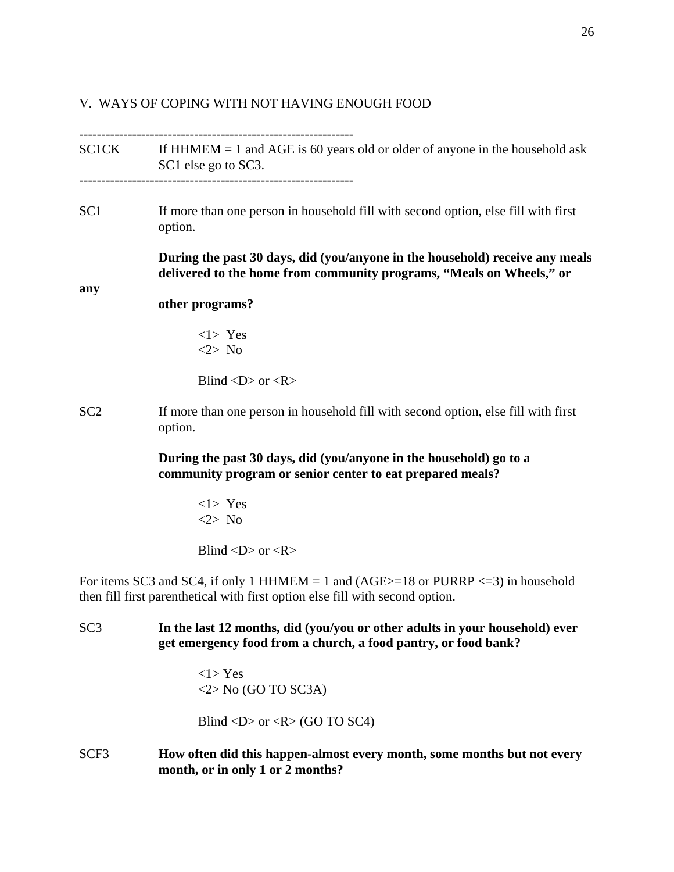# V. WAYS OF COPING WITH NOT HAVING ENOUGH FOOD

|                 | $SCICK$ If HHMEM = 1 and AGE is 60 years old or older of anyone in the household ask<br>SC1 else go to SC3.                                                            |
|-----------------|------------------------------------------------------------------------------------------------------------------------------------------------------------------------|
| SC1             | If more than one person in household fill with second option, else fill with first<br>option.                                                                          |
| any             | During the past 30 days, did (you/anyone in the household) receive any meals<br>delivered to the home from community programs, "Meals on Wheels," or                   |
|                 | other programs?                                                                                                                                                        |
|                 | $<1>$ Yes<br>$<2>$ No                                                                                                                                                  |
|                 | Blind $\langle D \rangle$ or $\langle R \rangle$                                                                                                                       |
| SC2             | If more than one person in household fill with second option, else fill with first<br>option.                                                                          |
|                 | During the past 30 days, did (you/anyone in the household) go to a<br>community program or senior center to eat prepared meals?                                        |
|                 | $<1>$ Yes<br>$<2>$ No                                                                                                                                                  |
|                 | Blind < $D$ > or < $R$ >                                                                                                                                               |
|                 | For items SC3 and SC4, if only 1 HHMEM = 1 and $(AGE>=18$ or PURRP <= 3) in household<br>then fill first parenthetical with first option else fill with second option. |
| SC <sub>3</sub> | In the last 12 months, did (you/you or other adults in your household) ever<br>get emergency food from a church, a food pantry, or food bank?                          |
|                 | $<1>$ Yes<br>$\langle 2 \rangle$ No (GO TO SC3A)                                                                                                                       |
|                 | Blind <d> or <r> <math>(R &gt; G0</math> TO SC4)</r></d>                                                                                                               |
| SCF3            | How often did this happen-almost every month, some months but not every<br>month, or in only 1 or 2 months?                                                            |